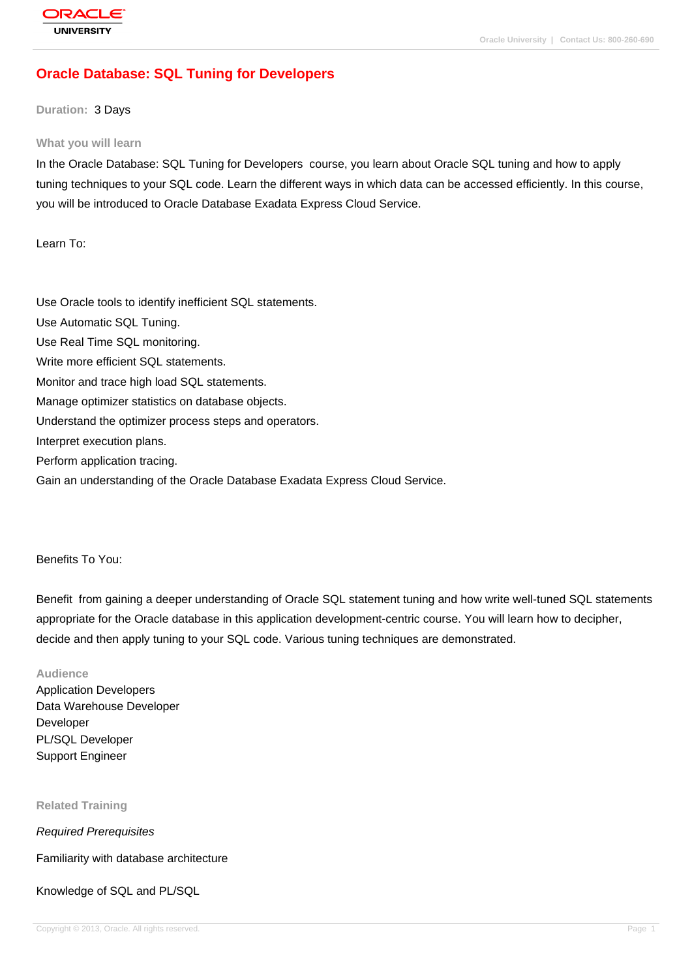# **[Oracle Databas](http://education.oracle.com/pls/web_prod-plq-dad/db_pages.getpage?page_id=3)e: SQL Tuning for Developers**

#### **Duration:** 3 Days

#### **What you will learn**

In the Oracle Database: SQL Tuning for Developers course, you learn about Oracle SQL tuning and how to apply tuning techniques to your SQL code. Learn the different ways in which data can be accessed efficiently. In this course, you will be introduced to Oracle Database Exadata Express Cloud Service.

Learn To:

Use Oracle tools to identify inefficient SQL statements. Use Automatic SQL Tuning. Use Real Time SQL monitoring. Write more efficient SQL statements. Monitor and trace high load SQL statements. Manage optimizer statistics on database objects. Understand the optimizer process steps and operators. Interpret execution plans. Perform application tracing. Gain an understanding of the Oracle Database Exadata Express Cloud Service.

Benefits To You:

Benefit from gaining a deeper understanding of Oracle SQL statement tuning and how write well-tuned SQL statements appropriate for the Oracle database in this application development-centric course. You will learn how to decipher, decide and then apply tuning to your SQL code. Various tuning techniques are demonstrated.

**Audience** Application Developers Data Warehouse Developer Developer PL/SQL Developer Support Engineer

**Related Training**

Required Prerequisites

Familiarity with database architecture

Knowledge of SQL and PL/SQL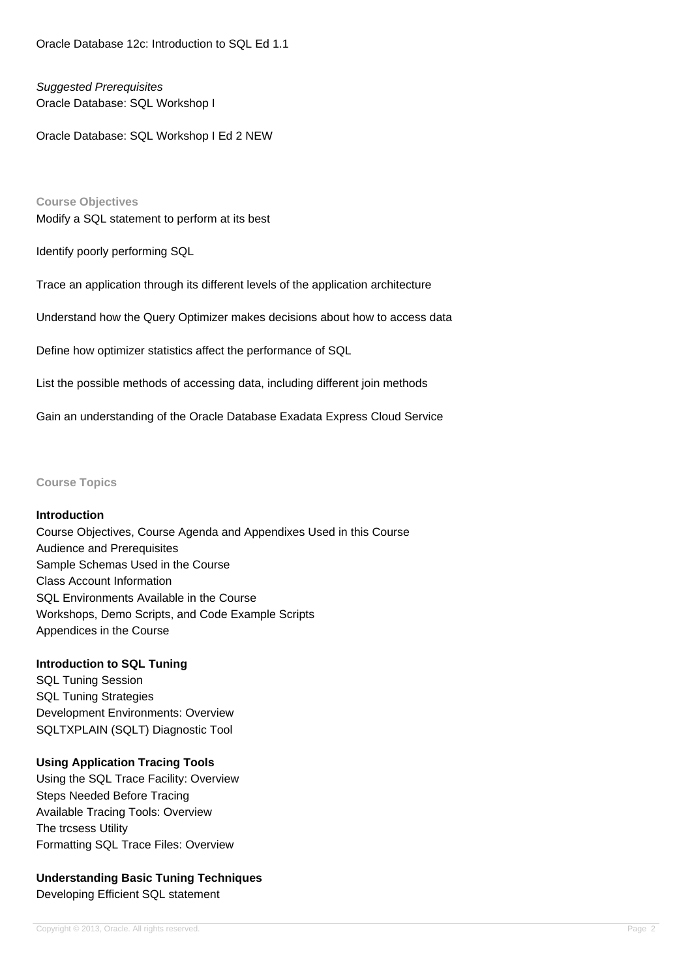Oracle Database 12c: Introduction to SQL Ed 1.1

# Suggested Prerequisites Oracle Database: SQL Workshop I

Oracle Database: SQL Workshop I Ed 2 NEW

**Course Objectives** Modify a SQL statement to perform at its best

Identify poorly performing SQL

Trace an application through its different levels of the application architecture

Understand how the Query Optimizer makes decisions about how to access data

Define how optimizer statistics affect the performance of SQL

List the possible methods of accessing data, including different join methods

Gain an understanding of the Oracle Database Exadata Express Cloud Service

**Course Topics**

#### **Introduction**

Course Objectives, Course Agenda and Appendixes Used in this Course Audience and Prerequisites Sample Schemas Used in the Course Class Account Information SQL Environments Available in the Course Workshops, Demo Scripts, and Code Example Scripts Appendices in the Course

#### **Introduction to SQL Tuning**

SQL Tuning Session SQL Tuning Strategies Development Environments: Overview SQLTXPLAIN (SQLT) Diagnostic Tool

## **Using Application Tracing Tools**

Using the SQL Trace Facility: Overview Steps Needed Before Tracing Available Tracing Tools: Overview The trcsess Utility Formatting SQL Trace Files: Overview

# **Understanding Basic Tuning Techniques** Developing Efficient SQL statement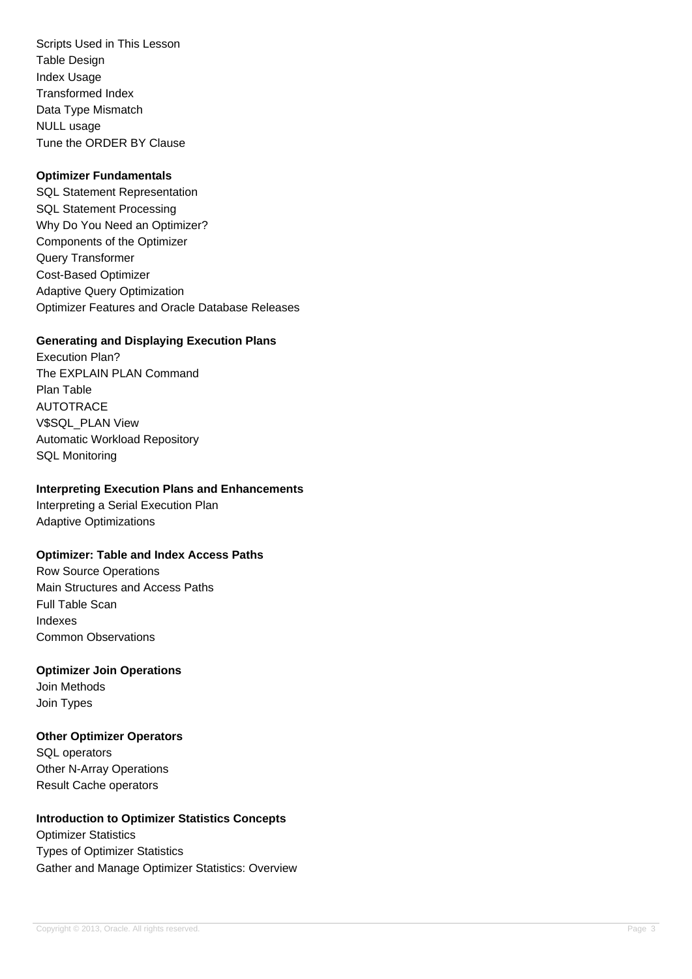Scripts Used in This Lesson Table Design Index Usage Transformed Index Data Type Mismatch NULL usage Tune the ORDER BY Clause

### **Optimizer Fundamentals**

SQL Statement Representation SQL Statement Processing Why Do You Need an Optimizer? Components of the Optimizer Query Transformer Cost-Based Optimizer Adaptive Query Optimization Optimizer Features and Oracle Database Releases

## **Generating and Displaying Execution Plans**

Execution Plan? The EXPLAIN PLAN Command Plan Table AUTOTRACE V\$SQL\_PLAN View Automatic Workload Repository SQL Monitoring

### **Interpreting Execution Plans and Enhancements**

Interpreting a Serial Execution Plan Adaptive Optimizations

## **Optimizer: Table and Index Access Paths**

Row Source Operations Main Structures and Access Paths Full Table Scan Indexes Common Observations

**Optimizer Join Operations** Join Methods Join Types

**Other Optimizer Operators** SQL operators Other N-Array Operations Result Cache operators

## **Introduction to Optimizer Statistics Concepts**

Optimizer Statistics Types of Optimizer Statistics Gather and Manage Optimizer Statistics: Overview